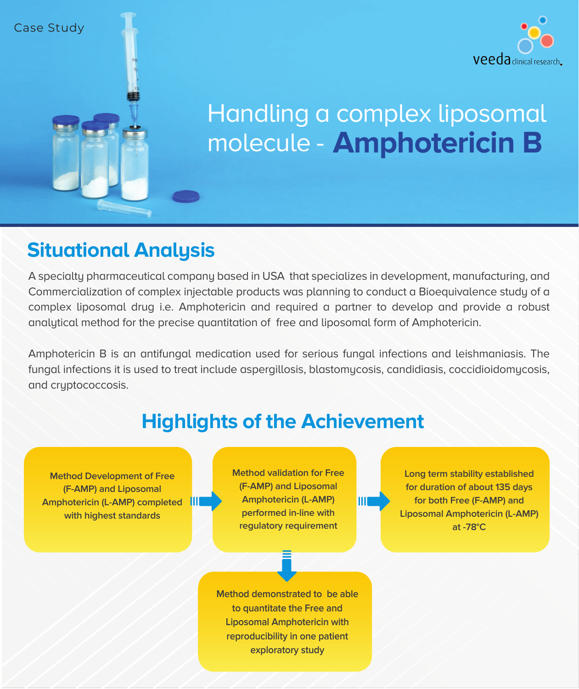



# **Amphotericin B** molecule - Handling a complex liposomal

#### **Situational Analysis**

A specialty pharmaceutical company based in USA that specializes in development, manufacturing, and Commercialization of complex injectable products was planning to conduct a Bioequivalence study of a complex liposomal drug i.e. Amphotericin and required a partner to develop and provide a robust analytical method for the precise quantitation of free and liposomal form of Amphotericin.

Amphotericin B is an antifungal medication used for serious fungal infections and leishmaniasis. The fungal infections it is used to treat include aspergillosis, blastomycosis, candidiasis, coccidioidomycosis, and cryptococcosis.

# **Highlights of the Achievement**

**Method Development of Free (F-AMP) and Liposomal Amphotericin (L-AMP) completed with highest standards**

**Method validation for Free (F-AMP) and Liposomal Amphotericin (L-AMP) performed in-line with regulatory requirement**

**Long term stability established for duration of about 135 days for both Free (F-AMP) and Liposomal Amphotericin (L-AMP) at -78°C**

**Method demonstrated to be able to quantitate the Free and Liposomal Amphotericin with reproducibility in one patient exploratory study**